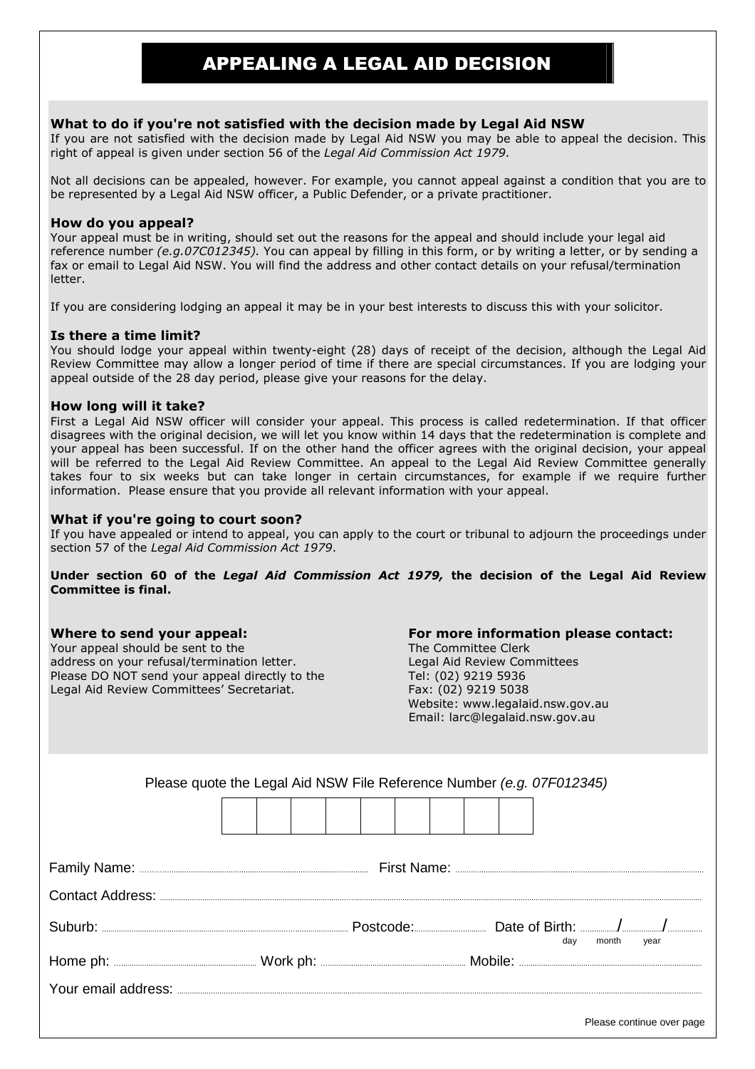# APPEALING A LEGAL AID DECISION

### **What to do if you're not satisfied with the decision made by Legal Aid NSW**

If you are not satisfied with the decision made by Legal Aid NSW you may be able to appeal the decision. This right of appeal is given under section 56 of the *Legal Aid Commission Act 1979*.

Not all decisions can be appealed, however. For example, you cannot appeal against a condition that you are to be represented by a Legal Aid NSW officer, a Public Defender, or a private practitioner.

#### **How do you appeal?**

Your appeal must be in writing, should set out the reasons for the appeal and should include your legal aid reference number *(e.g.07C012345).* You can appeal by filling in this form, or by writing a letter, or by sending a fax or email to Legal Aid NSW. You will find the address and other contact details on your refusal/termination letter.

If you are considering lodging an appeal it may be in your best interests to discuss this with your solicitor.

#### **Is there a time limit?**

You should lodge your appeal within twenty-eight (28) days of receipt of the decision, although the Legal Aid Review Committee may allow a longer period of time if there are special circumstances. If you are lodging your appeal outside of the 28 day period, please give your reasons for the delay.

#### **How long will it take?**

First a Legal Aid NSW officer will consider your appeal. This process is called redetermination. If that officer disagrees with the original decision, we will let you know within 14 days that the redetermination is complete and your appeal has been successful. If on the other hand the officer agrees with the original decision, your appeal will be referred to the Legal Aid Review Committee. An appeal to the Legal Aid Review Committee generally takes four to six weeks but can take longer in certain circumstances, for example if we require further information. Please ensure that you provide all relevant information with your appeal.

#### **What if you're going to court soon?**

If you have appealed or intend to appeal, you can apply to the court or tribunal to adjourn the proceedings under section 57 of the *Legal Aid Commission Act 1979*.

**Under section 60 of the** *Legal Aid Commission Act 1979,* **the decision of the Legal Aid Review Committee is final.** 

Your appeal should be sent to the The The Committee Clerk address on your refusal/termination letter. Legal Aid Review Committees Please DO NOT send your appeal directly to the Tel: (02) 9219 5936 Legal Aid Review Committees' Secretariat. Fax: (02) 9219 5038

## **Where to send your appeal: For more information please contact:**

 Website: www.legalaid.nsw.gov.au Email: larc@legalaid.nsw.gov.au

| Please quote the Legal Aid NSW File Reference Number (e.g. 07F012345) |     |               |
|-----------------------------------------------------------------------|-----|---------------|
|                                                                       |     |               |
|                                                                       |     |               |
|                                                                       |     |               |
|                                                                       | day | month<br>year |
|                                                                       |     |               |
|                                                                       |     |               |

Please continue over page